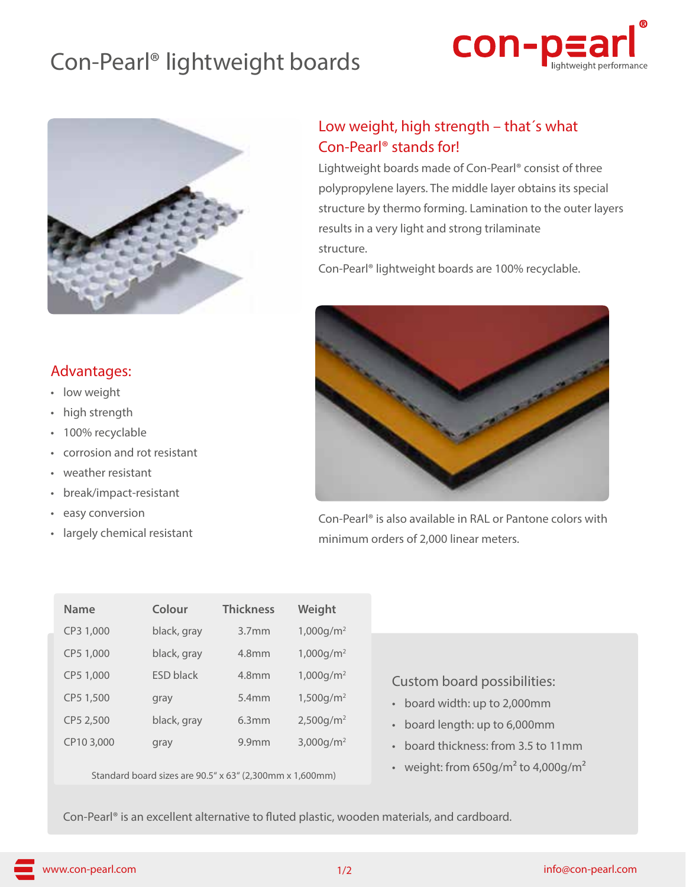# Con-Pearl® lightweight boards





#### Advantages:

- low weight
- high strength
- 100% recyclable
- corrosion and rot resistant
- weather resistant
- break/impact-resistant
- easy conversion
- largely chemical resistant

### Low weight, high strength – that´s what Con-Pearl® stands for!

Lightweight boards made of Con-Pearl® consist of three polypropylene layers. The middle layer obtains its special structure by thermo forming. Lamination to the outer layers results in a very light and strong trilaminate structure.

Con-Pearl® lightweight boards are 100% recyclable.



Con-Pearl® is also available in RAL or Pantone colors with minimum orders of 2,000 linear meters.

| <b>Name</b> | Colour           | <b>Thickness</b>  | Weight                   |
|-------------|------------------|-------------------|--------------------------|
| CP3 1,000   | black, gray      | 3.7 <sub>mm</sub> | $1,000$ g/m <sup>2</sup> |
| CP5 1,000   | black, gray      | 4.8mm             | $1,000$ g/m <sup>2</sup> |
| CP5 1,000   | <b>ESD black</b> | 4.8 <sub>mm</sub> | $1,000$ g/m <sup>2</sup> |
| CP5 1,500   | gray             | 5.4mm             | 1,500q/m <sup>2</sup>    |
| CP5 2,500   | black, gray      | 6.3mm             | $2,500$ g/m <sup>2</sup> |
| CP10 3,000  | gray             | 9.9 <sub>mm</sub> | $3,000q/m^2$             |
|             |                  |                   |                          |

Standard board sizes are 90.5" x 63" (2,300mm x 1,600mm)

Custom board possibilities:

- board width: up to 2,000mm
- board length: up to 6,000mm
- board thickness: from 3.5 to 11mm
- weight: from  $650$ g/m<sup>2</sup> to 4,000g/m<sup>2</sup>

Con-Pearl® is an excellent alternative to fluted plastic, wooden materials, and cardboard.